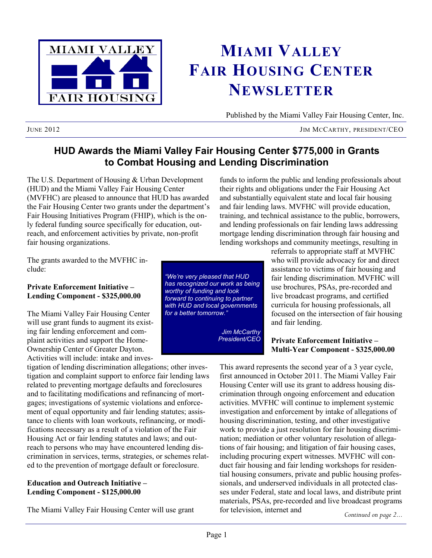

# **MIAMI VALLEY FAIR HOUSING CENTER NEWSLETTER**

Published by the Miami Valley Fair Housing Center, Inc.

JUNE 2012 JIM MCCARTHY, PRESIDENT/CEO

## **HUD Awards the Miami Valley Fair Housing Center \$775,000 in Grants to Combat Housing and Lending Discrimination**

The U.S. Department of Housing & Urban Development (HUD) and the Miami Valley Fair Housing Center (MVFHC) are pleased to announce that HUD has awarded the Fair Housing Center two grants under the department's Fair Housing Initiatives Program (FHIP), which is the only federal funding source specifically for education, outreach, and enforcement activities by private, non-profit fair housing organizations.

funds to inform the public and lending professionals about their rights and obligations under the Fair Housing Act and substantially equivalent state and local fair housing and fair lending laws. MVFHC will provide education, training, and technical assistance to the public, borrowers, and lending professionals on fair lending laws addressing mortgage lending discrimination through fair housing and lending workshops and community meetings, resulting in

The grants awarded to the MVFHC include:

#### **Private Enforcement Initiative – Lending Component - \$325,000.00**

The Miami Valley Fair Housing Center will use grant funds to augment its existing fair lending enforcement and complaint activities and support the Home-Ownership Center of Greater Dayton. Activities will include: intake and inves-

tigation of lending discrimination allegations; other investigation and complaint support to enforce fair lending laws related to preventing mortgage defaults and foreclosures and to facilitating modifications and refinancing of mortgages; investigations of systemic violations and enforcement of equal opportunity and fair lending statutes; assistance to clients with loan workouts, refinancing, or modifications necessary as a result of a violation of the Fair Housing Act or fair lending statutes and laws; and outreach to persons who may have encountered lending discrimination in services, terms, strategies, or schemes related to the prevention of mortgage default or foreclosure.

#### **Education and Outreach Initiative – Lending Component - \$125,000.00**

The Miami Valley Fair Housing Center will use grant

*"We're very pleased that HUD has recognized our work as being worthy of funding and look forward to continuing to partner with HUD and local governments for a better tomorrow."*

> *Jim McCarthy President/CEO*

referrals to appropriate staff at MVFHC who will provide advocacy for and direct assistance to victims of fair housing and fair lending discrimination. MVFHC will use brochures, PSAs, pre-recorded and live broadcast programs, and certified curricula for housing professionals, all focused on the intersection of fair housing and fair lending.

#### **Private Enforcement Initiative – Multi-Year Component - \$325,000.00**

This award represents the second year of a 3 year cycle, first announced in October 2011. The Miami Valley Fair Housing Center will use its grant to address housing discrimination through ongoing enforcement and education activities. MVFHC will continue to implement systemic investigation and enforcement by intake of allegations of housing discrimination, testing, and other investigative work to provide a just resolution for fair housing discrimination; mediation or other voluntary resolution of allegations of fair housing; and litigation of fair housing cases, including procuring expert witnesses. MVFHC will conduct fair housing and fair lending workshops for residential housing consumers, private and public housing professionals, and underserved individuals in all protected classes under Federal, state and local laws, and distribute print materials, PSAs, pre-recorded and live broadcast programs for television, internet and

*Continued on page 2...*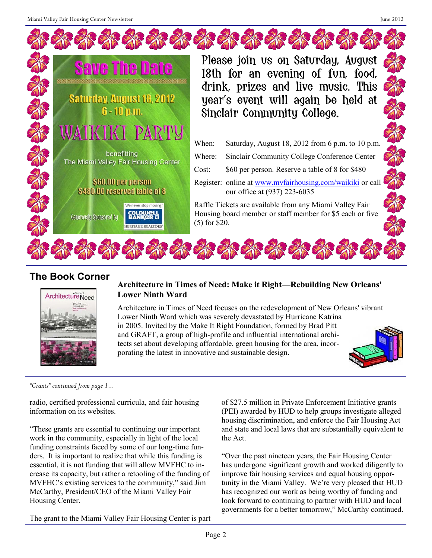| <b>Save The Date</b><br><b>XXXXXXXXXXXXXXXXXXXXXXXXXXXXXX</b><br><b>Saturday, August 18, 2012</b><br>$6 - 10$ p.m. | Please join us on Saturday, August<br>18th for an evening of fun, food,<br>drink, prizes and live music. This<br>year's event will again be held at<br>Sinclair Community College. |
|--------------------------------------------------------------------------------------------------------------------|------------------------------------------------------------------------------------------------------------------------------------------------------------------------------------|
| KIKI PARTY<br>benefitting<br>The Miami Valley Fair Housing Center                                                  | Saturday, August 18, 2012 from 6 p.m. to 10 p.m.<br>When:<br>Sinclair Community College Conference Center<br>Where:<br>\$60 per person. Reserve a table of 8 for \$480<br>Cost:    |
| \$60.00 per person<br>\$480.00 reserved table of 8                                                                 | Register: online at www.mvfairhousing.com/waikiki or call<br>our office at (937) 223-6035                                                                                          |
| We never stop moving."<br><b>COLDWELL</b><br>BANKER<br>Generously Sponsored by<br><b>HERITAGE REALTORS</b>         | Raffle Tickets are available from any Miami Valley Fair<br>Housing board member or staff member for \$5 each or five<br>$(5)$ for \$20.                                            |

## **The Book Corner**



### **Architecture in Times of Need: Make it Right—Rebuilding New Orleans' Lower Ninth Ward**

Architecture in Times of Need focuses on the redevelopment of New Orleans' vibrant Lower Ninth Ward which was severely devastated by Hurricane Katrina in 2005. Invited by the Make It Right Foundation, formed by Brad Pitt and GRAFT, a group of high-profile and influential international architects set about developing affordable, green housing for the area, incorporating the latest in innovative and sustainable design.



*"Grants" continued from page 1...*

radio, certified professional curricula, and fair housing information on its websites.

"These grants are essential to continuing our important work in the community, especially in light of the local funding constraints faced by some of our long-time funders. It is important to realize that while this funding is essential, it is not funding that will allow MVFHC to increase its capacity, but rather a retooling of the funding of MVFHC's existing services to the community," said Jim McCarthy, President/CEO of the Miami Valley Fair Housing Center.

The grant to the Miami Valley Fair Housing Center is part

of \$27.5 million in Private Enforcement Initiative grants (PEI) awarded by HUD to help groups investigate alleged housing discrimination, and enforce the Fair Housing Act and state and local laws that are substantially equivalent to the Act.

"Over the past nineteen years, the Fair Housing Center has undergone significant growth and worked diligently to improve fair housing services and equal housing opportunity in the Miami Valley. We're very pleased that HUD has recognized our work as being worthy of funding and look forward to continuing to partner with HUD and local governments for a better tomorrow," McCarthy continued.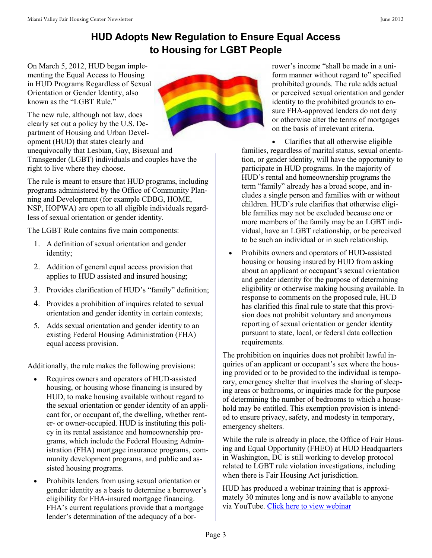# **HUD Adopts New Regulation to Ensure Equal Access to Housing for LGBT People**

On March 5, 2012, HUD began implementing the Equal Access to Housing in HUD Programs Regardless of Sexual Orientation or Gender Identity, also known as the "LGBT Rule."

The new rule, although not law, does clearly set out a policy by the U.S. Department of Housing and Urban Development (HUD) that states clearly and

unequivocally that Lesbian, Gay, Bisexual and Transgender (LGBT) individuals and couples have the right to live where they choose.

The rule is meant to ensure that HUD programs, including programs administered by the Office of Community Planning and Development (for example CDBG, HOME, NSP, HOPWA) are open to all eligible individuals regardless of sexual orientation or gender identity.

The LGBT Rule contains five main components:

- 1. A definition of sexual orientation and gender identity;
- 2. Addition of general equal access provision that applies to HUD assisted and insured housing;
- 3. Provides clarification of HUD's "family" definition;
- 4. Provides a prohibition of inquires related to sexual orientation and gender identity in certain contexts;
- 5. Adds sexual orientation and gender identity to an existing Federal Housing Administration (FHA) equal access provision.

Additionally, the rule makes the following provisions:

- Requires owners and operators of HUD-assisted housing, or housing whose financing is insured by HUD, to make housing available without regard to the sexual orientation or gender identity of an applicant for, or occupant of, the dwelling, whether renter- or owner-occupied. HUD is instituting this policy in its rental assistance and homeownership programs, which include the Federal Housing Administration (FHA) mortgage insurance programs, community development programs, and public and assisted housing programs.
- Prohibits lenders from using sexual orientation or gender identity as a basis to determine a borrower's eligibility for FHA-insured mortgage financing. FHA's current regulations provide that a mortgage lender's determination of the adequacy of a bor-



rower's income "shall be made in a uniform manner without regard to" specified prohibited grounds. The rule adds actual or perceived sexual orientation and gender identity to the prohibited grounds to ensure FHA-approved lenders do not deny or otherwise alter the terms of mortgages on the basis of irrelevant criteria.

 Clarifies that all otherwise eligible families, regardless of marital status, sexual orientation, or gender identity, will have the opportunity to participate in HUD programs. In the majority of HUD's rental and homeownership programs the term "family" already has a broad scope, and includes a single person and families with or without children. HUD's rule clarifies that otherwise eligible families may not be excluded because one or more members of the family may be an LGBT individual, have an LGBT relationship, or be perceived to be such an individual or in such relationship.

 Prohibits owners and operators of HUD-assisted housing or housing insured by HUD from asking about an applicant or occupant's sexual orientation and gender identity for the purpose of determining eligibility or otherwise making housing available. In response to comments on the proposed rule, HUD has clarified this final rule to state that this provision does not prohibit voluntary and anonymous reporting of sexual orientation or gender identity pursuant to state, local, or federal data collection requirements.

The prohibition on inquiries does not prohibit lawful inquiries of an applicant or occupant's sex where the housing provided or to be provided to the individual is temporary, emergency shelter that involves the sharing of sleeping areas or bathrooms, or inquiries made for the purpose of determining the number of bedrooms to which a household may be entitled. This exemption provision is intended to ensure privacy, safety, and modesty in temporary, emergency shelters.

While the rule is already in place, the Office of Fair Housing and Equal Opportunity (FHEO) at HUD Headquarters in Washington, DC is still working to develop protocol related to LGBT rule violation investigations, including when there is Fair Housing Act jurisdiction.

HUD has produced a webinar training that is approximately 30 minutes long and is now available to anyone via YouTube. [Click here to view webinar](http://www.youtube.com/watch?v=3_NHy1C53LA&feature=youtu.be)